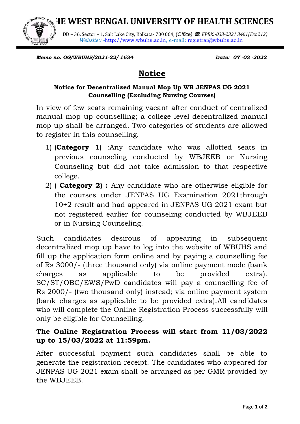**THE WEST BENGAL UNIVERSITY OF HEALTH SCIENCES**



DD – 36, Sector – 1, Salt Lake City, Kolkata- 700 064, (*Office} : EPBX:-033-2321 3461(Ext.212) Website:: -*[http://www.wbuhs.ac.in,](http://www.wbuhs.ac.in/) e-mail: [registrar@wbuhs.ac.in](mailto:registrar@wbuhs.ac.in)

*Memo no. OG/WBUHS/2021-22/ 1634* Date: 07 -03 -2022

## **Notice**

## **Notice for Decentralized Manual Mop Up WB JENPAS UG 2021 Counselling (Excluding Nursing Courses)**

In view of few seats remaining vacant after conduct of centralized manual mop up counselling; a college level decentralized manual mop up shall be arranged. Two categories of students are allowed to register in this counselling.

- 1) (**Category 1**) :Any candidate who was allotted seats in previous counseling conducted by WBJEEB or Nursing Counseling but did not take admission to that respective college.
- 2) ( **Category 2) :** Any candidate who are otherwise eligible for the courses under JENPAS UG Examination 2021through 10+2 result and had appeared in JENPAS UG 2021 exam but not registered earlier for counseling conducted by WBJEEB or in Nursing Counseling.

Such candidates desirous of appearing in subsequent decentralized mop up have to log into the website of WBUHS and fill up the application form online and by paying a counselling fee of Rs 3000/- (three thousand only) via online payment mode (bank charges as applicable to be provided extra). SC/ST/OBC/EWS/PwD candidates will pay a counselling fee of Rs 2000/- (two thousand only) instead; via online payment system (bank charges as applicable to be provided extra).All candidates who will complete the Online Registration Process successfully will only be eligible for Counselling.

## **The Online Registration Process will start from 11/03/2022 up to 15/03/2022 at 11:59pm.**

After successful payment such candidates shall be able to generate the registration receipt. The candidates who appeared for JENPAS UG 2021 exam shall be arranged as per GMR provided by the WBJEEB.